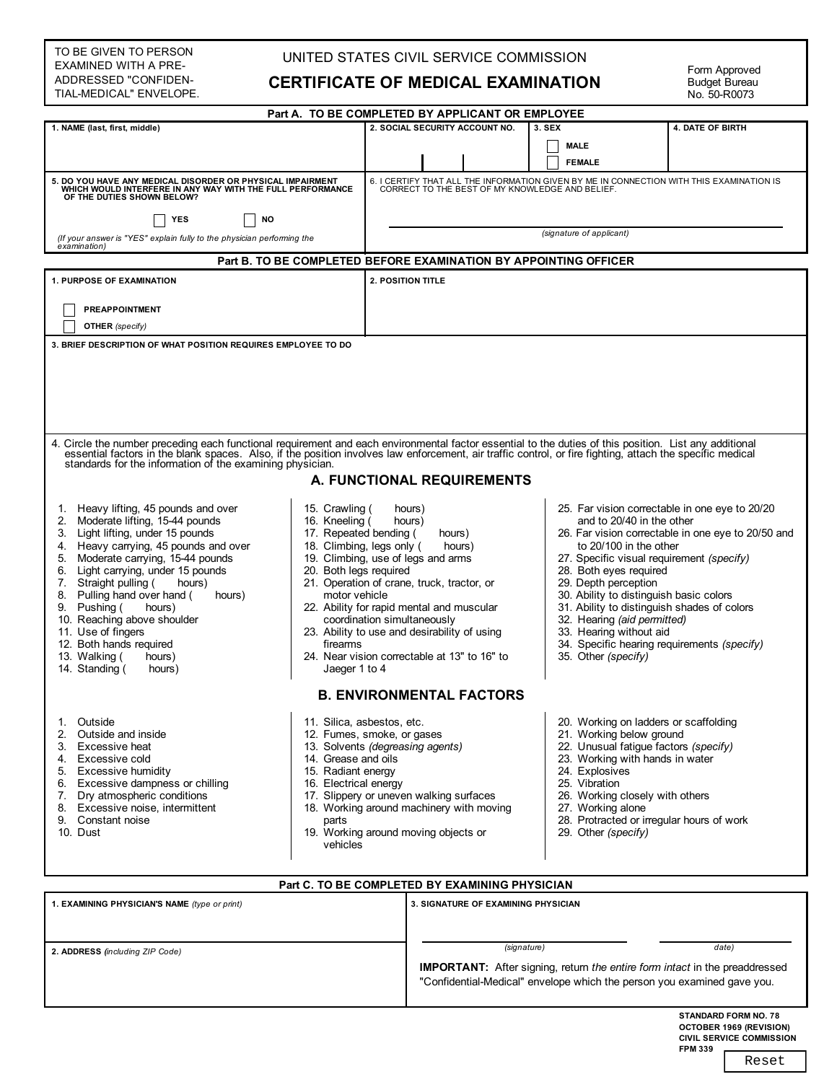### TO BE GIVEN TO PERSON EXAMINED WITH A PRE-ADDRESSED "CONFIDEN-TIAL-MEDICAL" ENVELOPE.

### UNITED STATES CIVIL SERVICE COMMISSION

### **CERTIFICATE OF MEDICAL EXAMINATION**

Form Approved Budget Bureau No. 50-R0073

| Part A. TO BE COMPLETED BY APPLICANT OR EMPLOYEE                                                                                                                                                                                                                                                                                                                                                                                                                                       |                                                                                                                                                                                                                                                                                                                                                                                                  |                                                 |                          |                                                 |        |                                                                                                                                                                                                                                   |                                                                                                                                                                                                                                                 |
|----------------------------------------------------------------------------------------------------------------------------------------------------------------------------------------------------------------------------------------------------------------------------------------------------------------------------------------------------------------------------------------------------------------------------------------------------------------------------------------|--------------------------------------------------------------------------------------------------------------------------------------------------------------------------------------------------------------------------------------------------------------------------------------------------------------------------------------------------------------------------------------------------|-------------------------------------------------|--------------------------|-------------------------------------------------|--------|-----------------------------------------------------------------------------------------------------------------------------------------------------------------------------------------------------------------------------------|-------------------------------------------------------------------------------------------------------------------------------------------------------------------------------------------------------------------------------------------------|
| 1. NAME (last, first, middle)                                                                                                                                                                                                                                                                                                                                                                                                                                                          |                                                                                                                                                                                                                                                                                                                                                                                                  |                                                 |                          | 2. SOCIAL SECURITY ACCOUNT NO.                  | 3. SEX |                                                                                                                                                                                                                                   | <b>4. DATE OF BIRTH</b>                                                                                                                                                                                                                         |
|                                                                                                                                                                                                                                                                                                                                                                                                                                                                                        |                                                                                                                                                                                                                                                                                                                                                                                                  |                                                 |                          |                                                 |        | <b>MALE</b>                                                                                                                                                                                                                       |                                                                                                                                                                                                                                                 |
|                                                                                                                                                                                                                                                                                                                                                                                                                                                                                        |                                                                                                                                                                                                                                                                                                                                                                                                  |                                                 |                          |                                                 |        | <b>FEMALE</b>                                                                                                                                                                                                                     |                                                                                                                                                                                                                                                 |
| 5. DO YOU HAVE ANY MEDICAL DISORDER OR PHYSICAL IMPAIRMENT<br>WHICH WOULD INTERFERE IN ANY WAY WITH THE FULL PERFORMANCE<br>OF THE DUTIES SHOWN BELOW?                                                                                                                                                                                                                                                                                                                                 |                                                                                                                                                                                                                                                                                                                                                                                                  |                                                 |                          | CORRECT TO THE BEST OF MY KNOWLEDGE AND BELIEF. |        |                                                                                                                                                                                                                                   | 6. I CERTIFY THAT ALL THE INFORMATION GIVEN BY ME IN CONNECTION WITH THIS EXAMINATION IS                                                                                                                                                        |
| <b>YES</b><br><b>NO</b>                                                                                                                                                                                                                                                                                                                                                                                                                                                                |                                                                                                                                                                                                                                                                                                                                                                                                  |                                                 |                          |                                                 |        |                                                                                                                                                                                                                                   |                                                                                                                                                                                                                                                 |
| (If your answer is "YES" explain fully to the physician performing the                                                                                                                                                                                                                                                                                                                                                                                                                 |                                                                                                                                                                                                                                                                                                                                                                                                  |                                                 | (signature of applicant) |                                                 |        |                                                                                                                                                                                                                                   |                                                                                                                                                                                                                                                 |
| examination)                                                                                                                                                                                                                                                                                                                                                                                                                                                                           |                                                                                                                                                                                                                                                                                                                                                                                                  |                                                 |                          |                                                 |        |                                                                                                                                                                                                                                   |                                                                                                                                                                                                                                                 |
|                                                                                                                                                                                                                                                                                                                                                                                                                                                                                        |                                                                                                                                                                                                                                                                                                                                                                                                  |                                                 |                          |                                                 |        | Part B. TO BE COMPLETED BEFORE EXAMINATION BY APPOINTING OFFICER                                                                                                                                                                  |                                                                                                                                                                                                                                                 |
| <b>1. PURPOSE OF EXAMINATION</b>                                                                                                                                                                                                                                                                                                                                                                                                                                                       |                                                                                                                                                                                                                                                                                                                                                                                                  | 2. POSITION TITLE                               |                          |                                                 |        |                                                                                                                                                                                                                                   |                                                                                                                                                                                                                                                 |
|                                                                                                                                                                                                                                                                                                                                                                                                                                                                                        |                                                                                                                                                                                                                                                                                                                                                                                                  |                                                 |                          |                                                 |        |                                                                                                                                                                                                                                   |                                                                                                                                                                                                                                                 |
| <b>PREAPPOINTMENT</b>                                                                                                                                                                                                                                                                                                                                                                                                                                                                  |                                                                                                                                                                                                                                                                                                                                                                                                  |                                                 |                          |                                                 |        |                                                                                                                                                                                                                                   |                                                                                                                                                                                                                                                 |
| <b>OTHER</b> (specify)                                                                                                                                                                                                                                                                                                                                                                                                                                                                 |                                                                                                                                                                                                                                                                                                                                                                                                  |                                                 |                          |                                                 |        |                                                                                                                                                                                                                                   |                                                                                                                                                                                                                                                 |
| 3. BRIEF DESCRIPTION OF WHAT POSITION REQUIRES EMPLOYEE TO DO                                                                                                                                                                                                                                                                                                                                                                                                                          |                                                                                                                                                                                                                                                                                                                                                                                                  |                                                 |                          |                                                 |        |                                                                                                                                                                                                                                   |                                                                                                                                                                                                                                                 |
|                                                                                                                                                                                                                                                                                                                                                                                                                                                                                        |                                                                                                                                                                                                                                                                                                                                                                                                  |                                                 |                          |                                                 |        |                                                                                                                                                                                                                                   |                                                                                                                                                                                                                                                 |
| 4. Circle the number preceding each functional requirement and each environmental factor essential to the duties of this position. List any additional<br>essential factors in the blank spaces. Also, if the position involves law enforcement, air traffic control, or fire fighting, attach the specific medical standards for the information of the examining physician.<br>A. FUNCTIONAL REQUIREMENTS                                                                            |                                                                                                                                                                                                                                                                                                                                                                                                  |                                                 |                          |                                                 |        |                                                                                                                                                                                                                                   |                                                                                                                                                                                                                                                 |
| 1. Heavy lifting, 45 pounds and over<br>2. Moderate lifting, 15-44 pounds<br>3. Light lifting, under 15 pounds<br>4. Heavy carrying, 45 pounds and over<br>Moderate carrying, 15-44 pounds<br>5.<br>Light carrying, under 15 pounds<br>6.<br>7. Straight pulling (<br>hours)<br>8. Pulling hand over hand (<br>hours)<br>9. Pushing (<br>hours)<br>10. Reaching above shoulder<br>11. Use of fingers<br>12. Both hands required<br>13. Walking (<br>hours)<br>14. Standing (<br>hours) | 15. Crawling (<br>16. Kneeling (<br>17. Repeated bending (<br>18. Climbing, legs only (<br>19. Climbing, use of legs and arms<br>20. Both legs required<br>21. Operation of crane, truck, tractor, or<br>motor vehicle<br>22. Ability for rapid mental and muscular<br>23. Ability to use and desirability of using<br>firearms<br>24. Near vision correctable at 13" to 16" to<br>Jaeger 1 to 4 | hours)<br>hours)<br>coordination simultaneously | hours)<br>hours)         |                                                 |        | and to 20/40 in the other<br>to 20/100 in the other<br>28. Both eyes required<br>29. Depth perception<br>30. Ability to distinguish basic colors<br>32. Hearing (aid permitted)<br>33. Hearing without aid<br>35. Other (specify) | 25. Far vision correctable in one eye to 20/20<br>26. Far vision correctable in one eye to 20/50 and<br>27. Specific visual requirement (specify)<br>31. Ability to distinguish shades of colors<br>34. Specific hearing requirements (specify) |
|                                                                                                                                                                                                                                                                                                                                                                                                                                                                                        |                                                                                                                                                                                                                                                                                                                                                                                                  |                                                 |                          | <b>B. ENVIRONMENTAL FACTORS</b>                 |        |                                                                                                                                                                                                                                   |                                                                                                                                                                                                                                                 |
| Outside<br>1.<br>2.<br>Outside and inside<br>Excessive heat<br>3.<br>Excessive cold<br>4.<br>5. Excessive humidity<br>6. Excessive dampness or chilling<br>7. Dry atmospheric conditions<br>8. Excessive noise, intermittent<br>Constant noise<br>9.<br>10. Dust                                                                                                                                                                                                                       | 11. Silica, asbestos, etc.<br>12. Fumes, smoke, or gases<br>13. Solvents (degreasing agents)<br>14. Grease and oils<br>15. Radiant energy<br>16. Electrical energy<br>17. Slippery or uneven walking surfaces<br>18. Working around machinery with moving<br>parts<br>19. Working around moving objects or<br>vehicles                                                                           |                                                 |                          |                                                 |        | 21. Working below ground<br>22. Unusual fatique factors (specify)<br>23. Working with hands in water<br>24. Explosives<br>25. Vibration<br>26. Working closely with others<br>27. Working alone<br>29. Other (specify)            | 20. Working on ladders or scaffolding<br>28. Protracted or irregular hours of work                                                                                                                                                              |
|                                                                                                                                                                                                                                                                                                                                                                                                                                                                                        |                                                                                                                                                                                                                                                                                                                                                                                                  |                                                 |                          |                                                 |        |                                                                                                                                                                                                                                   |                                                                                                                                                                                                                                                 |
| Part C. TO BE COMPLETED BY EXAMINING PHYSICIAN                                                                                                                                                                                                                                                                                                                                                                                                                                         |                                                                                                                                                                                                                                                                                                                                                                                                  |                                                 |                          |                                                 |        |                                                                                                                                                                                                                                   |                                                                                                                                                                                                                                                 |
| 1. EXAMINING PHYSICIAN'S NAME (type or print)                                                                                                                                                                                                                                                                                                                                                                                                                                          |                                                                                                                                                                                                                                                                                                                                                                                                  |                                                 |                          | 3. SIGNATURE OF EXAMINING PHYSICIAN             |        |                                                                                                                                                                                                                                   |                                                                                                                                                                                                                                                 |

| 2. ADDRESS (including ZIP Code) |  |
|---------------------------------|--|
|                                 |  |

*(signature) date)*

**IPORTANT:** After signing, return *the entire form intact* in the preaddressed "Confidential-Medical" envelope which the person you examined gave you.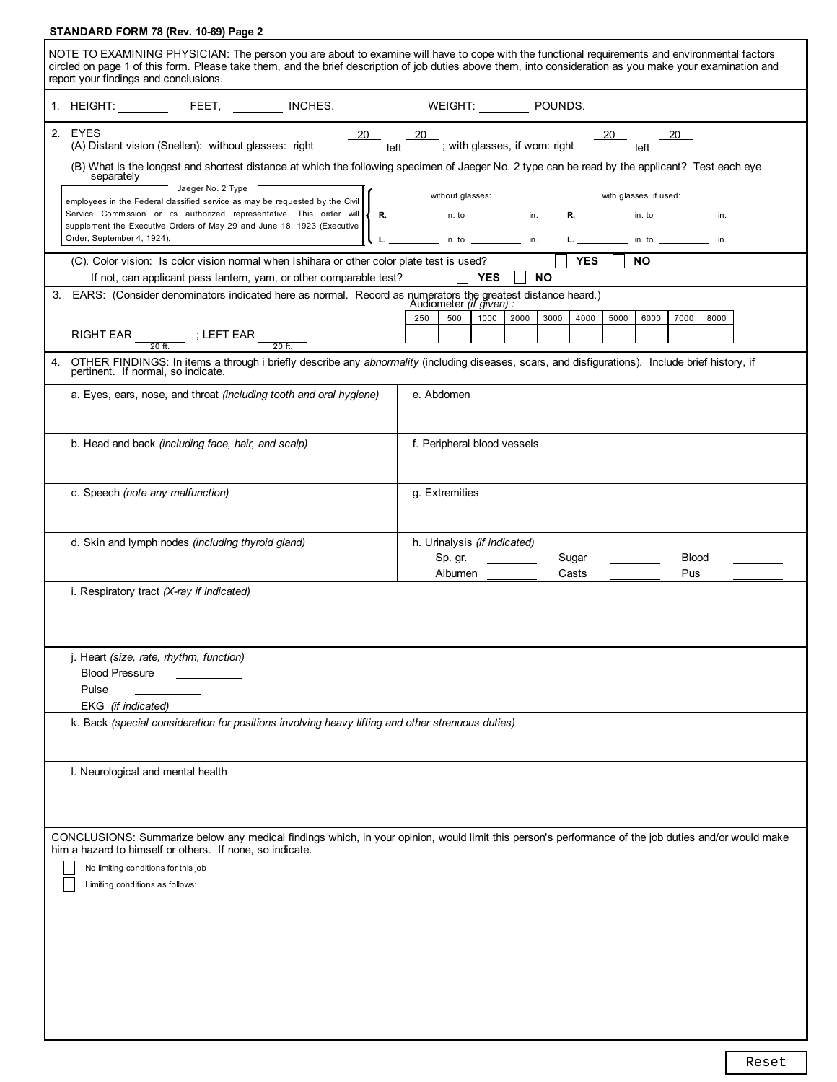## **STANDARD FORM 78 (Rev. 10-69) Page 2**

| NOTE TO EXAMINING PHYSICIAN: The person you are about to examine will have to cope with the functional requirements and environmental factors<br>circled on page 1 of this form. Please take them, and the brief description of job duties above them, into consideration as you make your examination and<br>report your findings and conclusions. |                                                                                                                                                                                                                                                                                                                                                                    |                                                                                                                                                                                                                                              |  |  |  |
|-----------------------------------------------------------------------------------------------------------------------------------------------------------------------------------------------------------------------------------------------------------------------------------------------------------------------------------------------------|--------------------------------------------------------------------------------------------------------------------------------------------------------------------------------------------------------------------------------------------------------------------------------------------------------------------------------------------------------------------|----------------------------------------------------------------------------------------------------------------------------------------------------------------------------------------------------------------------------------------------|--|--|--|
|                                                                                                                                                                                                                                                                                                                                                     | 1. HEIGHT: FEET, NCHES. WEIGHT: POUNDS.                                                                                                                                                                                                                                                                                                                            |                                                                                                                                                                                                                                              |  |  |  |
|                                                                                                                                                                                                                                                                                                                                                     | 2. EYES<br>(A) Distant vision (Snellen): without glasses: right                                                                                                                                                                                                                                                                                                    | $\frac{20}{1}$ $\frac{20}{1}$ ; with glasses, if worn: right $\frac{20}{1}$ $\frac{20}{1}$<br>(B) What is the longest and shortest distance at which the following specimen of Jaeger No. 2 type can be read by the applicant? Test each eye |  |  |  |
|                                                                                                                                                                                                                                                                                                                                                     | separately<br>Jaeger No. 2 Type<br>employees in the Federal classified service as may be requested by the Civil<br>Service Commission or its authorized representative. This order will   R. ________ in. to ________ in. R. ________ in. to _________ in.<br>supplement the Executive Orders of May 29 and June 18, 1923 (Executive<br>Order, September 4, 1924). | without glasses:<br>with glasses, if used:<br>L L __________ in. to ___________ in. L ___________ in. to ___________ in.                                                                                                                     |  |  |  |
|                                                                                                                                                                                                                                                                                                                                                     | (C). Color vision: Is color vision normal when Ishihara or other color plate test is used?<br>If not, can applicant pass lantern, yarn, or other comparable test?                                                                                                                                                                                                  | $\sqrt{YES}$ $\sqrt{NO}$<br><b>YES</b><br><b>NO</b>                                                                                                                                                                                          |  |  |  |
|                                                                                                                                                                                                                                                                                                                                                     | 3. EARS: (Consider denominators indicated here as normal. Record as numerators the greatest distance heard.)<br>Audiometer (if given) :                                                                                                                                                                                                                            | 2000<br>3000<br>4000<br>250<br>500<br>1000<br>5000<br>6000<br>7000<br>8000                                                                                                                                                                   |  |  |  |
| 4.                                                                                                                                                                                                                                                                                                                                                  | RIGHT EAR $\frac{1}{20 \text{ ft}}$ ; LEFT EAR $\frac{1}{20 \text{ ft}}$<br>pertinent. If normal, so indicate.                                                                                                                                                                                                                                                     | OTHER FINDINGS: In items a through i briefly describe any abnormality (including diseases, scars, and disfigurations). Include brief history, if                                                                                             |  |  |  |
|                                                                                                                                                                                                                                                                                                                                                     | a. Eyes, ears, nose, and throat <i>(including tooth and oral hygiene)</i>                                                                                                                                                                                                                                                                                          | e. Abdomen                                                                                                                                                                                                                                   |  |  |  |
|                                                                                                                                                                                                                                                                                                                                                     | b. Head and back <i>(including face, hair, and scalp)</i>                                                                                                                                                                                                                                                                                                          | f. Peripheral blood vessels                                                                                                                                                                                                                  |  |  |  |
|                                                                                                                                                                                                                                                                                                                                                     | c. Speech (note any malfunction)                                                                                                                                                                                                                                                                                                                                   | g. Extremities                                                                                                                                                                                                                               |  |  |  |
|                                                                                                                                                                                                                                                                                                                                                     | d. Skin and lymph nodes (including thyroid gland)                                                                                                                                                                                                                                                                                                                  | h. Urinalysis (if indicated)<br>Sp. gr.<br>Sugar<br><b>Blood</b><br>Albumen<br>Casts<br>Pus                                                                                                                                                  |  |  |  |
|                                                                                                                                                                                                                                                                                                                                                     | i. Respiratory tract $(X-ray\ if\ indicated)$                                                                                                                                                                                                                                                                                                                      |                                                                                                                                                                                                                                              |  |  |  |
|                                                                                                                                                                                                                                                                                                                                                     | j. Heart (size, rate, rhythm, function)<br><b>Blood Pressure</b><br>Pulse                                                                                                                                                                                                                                                                                          |                                                                                                                                                                                                                                              |  |  |  |
|                                                                                                                                                                                                                                                                                                                                                     | EKG (if indicated)<br>k. Back (special consideration for positions involving heavy lifting and other strenuous duties)                                                                                                                                                                                                                                             |                                                                                                                                                                                                                                              |  |  |  |
|                                                                                                                                                                                                                                                                                                                                                     | I. Neurological and mental health                                                                                                                                                                                                                                                                                                                                  |                                                                                                                                                                                                                                              |  |  |  |
|                                                                                                                                                                                                                                                                                                                                                     | him a hazard to himself or others. If none, so indicate.<br>No limiting conditions for this job<br>Limiting conditions as follows:                                                                                                                                                                                                                                 | CONCLUSIONS: Summarize below any medical findings which, in your opinion, would limit this person's performance of the job duties and/or would make                                                                                          |  |  |  |